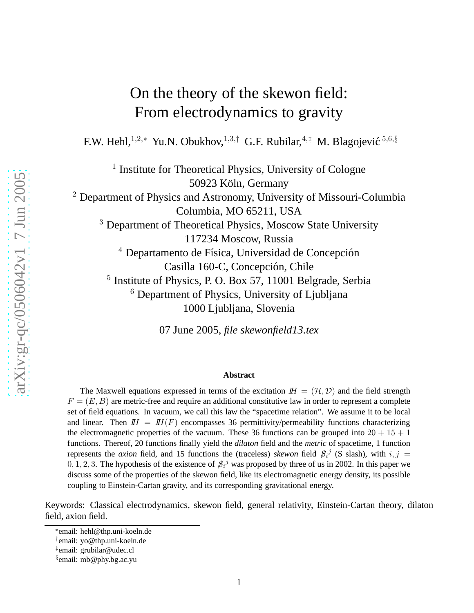# On the theory of the skewon field: From electrodynamics to gravity

F.W. Hehl,<sup>1,2,\*</sup> Yu.N. Obukhov,<sup>1,3,†</sup> G.F. Rubilar,<sup>4,‡</sup> M. Blagojević<sup>5,6,§</sup>

<sup>1</sup> Institute for Theoretical Physics, University of Cologne 50923 Köln, Germany  $2$  Department of Physics and Astronomy, University of Missouri-Columbia Columbia, MO 65211, USA <sup>3</sup> Department of Theoretical Physics, Moscow State University 117234 Moscow, Russia  $4$  Departamento de Física, Universidad de Concepción Casilla 160-C, Concepción, Chile <sup>5</sup> Institute of Physics, P. O. Box 57, 11001 Belgrade, Serbia  $6$  Department of Physics, University of Ljubljana 1000 Ljubljana, Slovenia

07 June 2005, *file skewonfield13.tex*

#### **Abstract**

The Maxwell equations expressed in terms of the excitation  $H = (\mathcal{H}, \mathcal{D})$  and the field strength  $F = (E, B)$  are metric-free and require an additional constitutive law in order to represent a complete set of field equations. In vacuum, we call this law the "spacetime relation". We assume it to be local and linear. Then  $H = H(F)$  encompasses 36 permittivity/permeability functions characterizing the electromagnetic properties of the vacuum. These 36 functions can be grouped into  $20 + 15 + 1$ functions. Thereof, 20 functions finally yield the *dilaton* field and the *metric* of spacetime, 1 function represents the *axion* field, and 15 functions the (traceless) *skewon* field  $\mathcal{S}_i^j$  (S slash), with  $i, j =$  $0, 1, 2, 3$ . The hypothesis of the existence of  $\mathcal{S}_i^j$  was proposed by three of us in 2002. In this paper we discuss some of the properties of the skewon field, like its electromagnetic energy density, its possible coupling to Einstein-Cartan gravity, and its corresponding gravitational energy.

Keywords: Classical electrodynamics, skewon field, general relativity, Einstein-Cartan theory, dilaton field, axion field.

<sup>∗</sup> email: hehl@thp.uni-koeln.de

<sup>†</sup> email: yo@thp.uni-koeln.de

<sup>‡</sup> email: grubilar@udec.cl

<sup>§</sup> email: mb@phy.bg.ac.yu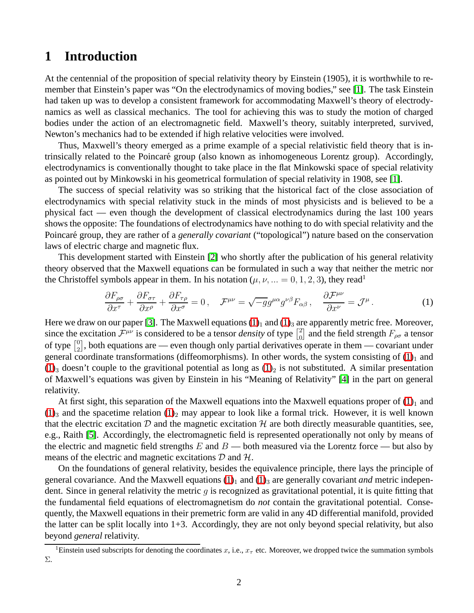### **1 Introduction**

At the centennial of the proposition of special relativity theory by Einstein (1905), it is worthwhile to remember that Einstein's paper was "On the electrodynamics of moving bodies," see [\[1\]](#page-13-0). The task Einstein had taken up was to develop a consistent framework for accommodating Maxwell's theory of electrodynamics as well as classical mechanics. The tool for achieving this was to study the motion of charged bodies under the action of an electromagnetic field. Maxwell's theory, suitably interpreted, survived, Newton's mechanics had to be extended if high relative velocities were involved.

Thus, Maxwell's theory emerged as a prime example of a special relativistic field theory that is intrinsically related to the Poincaré group (also known as inhomogeneous Lorentz group). Accordingly, electrodynamics is conventionally thought to take place in the flat Minkowski space of special relativity as pointed out by Minkowski in his geometrical formulation of special relativity in 1908, see [\[1\]](#page-13-0).

The success of special relativity was so striking that the historical fact of the close association of electrodynamics with special relativity stuck in the minds of most physicists and is believed to be a physical fact — even though the development of classical electrodynamics during the last 100 years shows the opposite: The foundations of electrodynamics have nothing to do with special relativity and the Poincaré group, they are rather of a *generally covariant* ("topological") nature based on the conservation laws of electric charge and magnetic flux.

This development started with Einstein [\[2\]](#page-13-1) who shortly after the publication of his general relativity theory observed that the Maxwell equations can be formulated in such a way that neither the metric nor the Christoffel symbols appear in them. In his notation  $(\mu, \nu, ... = 0, 1, 2, 3)$ , they read<sup>1</sup>

<span id="page-1-0"></span>
$$
\frac{\partial F_{\rho\sigma}}{\partial x^{\tau}} + \frac{\partial F_{\sigma\tau}}{\partial x^{\rho}} + \frac{\partial F_{\tau\rho}}{\partial x^{\sigma}} = 0, \quad \mathcal{F}^{\mu\nu} = \sqrt{-g}g^{\mu\alpha}g^{\nu\beta}F_{\alpha\beta}, \quad \frac{\partial \mathcal{F}^{\mu\nu}}{\partial x^{\nu}} = \mathcal{J}^{\mu}.
$$
 (1)

Here we draw on our paper [\[3\]](#page-13-2). The Maxwell equations  $(1)_1$  $(1)_1$  and  $(1)_3$  are apparently metric free. Moreover, since the excitation  $\mathcal{F}^{\mu\nu}$  is considered to be a tensor *density* of type  $\begin{bmatrix} 2 \\ 0 \end{bmatrix}$  $\begin{bmatrix} 2 \\ 0 \end{bmatrix}$  and the field strength  $F_{\rho\sigma}$  a tensor of type  $\begin{bmatrix} 0 \\ 2 \end{bmatrix}$  $^{0}_{2}$ , both equations are — even though only partial derivatives operate in them — covariant under general coordinate transformations (diffeomorphisms). In other words, the system consisting of  $(1)_1$  $(1)_1$  and  $(1)_3$  $(1)_3$  doesn't couple to the gravitional potential as long as  $(1)_2$  is not substituted. A similar presentation of Maxwell's equations was given by Einstein in his "Meaning of Relativity" [\[4\]](#page-13-3) in the part on general relativity.

At first sight, this separation of the Maxwell equations into the Maxwell equations proper of  $(1)<sub>1</sub>$  $(1)<sub>1</sub>$  and  $(1)_3$  $(1)_3$  and the spacetime relation  $(1)_2$  may appear to look like a formal trick. However, it is well known that the electric excitation D and the magnetic excitation  $H$  are both directly measurable quantities, see, e.g., Raith [\[5\]](#page-13-4). Accordingly, the electromagnetic field is represented operationally not only by means of the electric and magnetic field strengths  $E$  and  $B$  — both measured via the Lorentz force — but also by means of the electric and magnetic excitations  $D$  and  $H$ .

On the foundations of general relativity, besides the equivalence principle, there lays the principle of general covariance. And the Maxwell equations  $(1)_1$  $(1)_1$  and  $(1)_3$  are generally covariant *and* metric independent. Since in general relativity the metric  $q$  is recognized as gravitational potential, it is quite fitting that the fundamental field equations of electromagnetism do *not* contain the gravitational potential. Consequently, the Maxwell equations in their premetric form are valid in any 4D differential manifold, provided the latter can be split locally into  $1+3$ . Accordingly, they are not only beyond special relativity, but also beyond *general* relativity.

<sup>&</sup>lt;sup>1</sup>Einstein used subscripts for denoting the coordinates x, i.e.,  $x<sub>\tau</sub>$  etc. Moreover, we dropped twice the summation symbols Σ.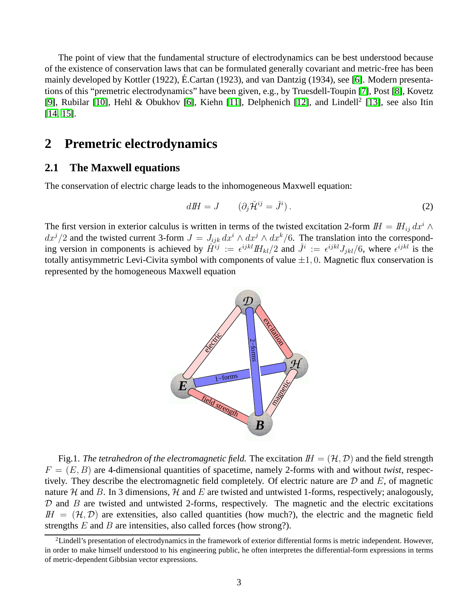The point of view that the fundamental structure of electrodynamics can be best understood because of the existence of conservation laws that can be formulated generally covariant and metric-free has been mainly developed by Kottler (1922), É.Cartan (1923), and van Dantzig (1934), see [\[6\]](#page-13-5). Modern presentations of this "premetric electrodynamics" have been given, e.g., by Truesdell-Toupin [\[7\]](#page-13-6), Post [\[8\]](#page-13-7), Kovetz [\[9\]](#page-13-8), Rubilar [\[10\]](#page-13-9), Hehl & Obukhov [\[6\]](#page-13-5), Kiehn [\[11\]](#page-13-10), Delphenich [\[12\]](#page-13-11), and Lindell<sup>2</sup> [\[13\]](#page-13-12), see also Itin [\[14,](#page-13-13) [15\]](#page-13-14).

### **2 Premetric electrodynamics**

#### **2.1 The Maxwell equations**

The conservation of electric charge leads to the inhomogeneous Maxwell equation:

<span id="page-2-0"></span>
$$
dH = J \qquad (\partial_j \tilde{\mathcal{H}}^{ij} = \tilde{J}^i). \tag{2}
$$

The first version in exterior calculus is written in terms of the twisted excitation 2-form  $I\!H = I\!H_{ij} dx^i \wedge$  $dx^{j}/2$  and the twisted current 3-form  $J = J_{ijk} dx^{i} \wedge dx^{j} \wedge dx^{k}/6$ . The translation into the corresponding version in components is achieved by  $\check{H}^{ij} := \epsilon^{ijkl} H_{kl}/2$  and  $\check{J}^i := \epsilon^{ijkl} J_{jkl}/6$ , where  $\epsilon^{ijkl}$  is the totally antisymmetric Levi-Civita symbol with components of value  $\pm 1$ , 0. Magnetic flux conservation is represented by the homogeneous Maxwell equation



Fig.1. *The tetrahedron of the electromagnetic field*. The excitation  $I = (\mathcal{H}, \mathcal{D})$  and the field strength  $F = (E, B)$  are 4-dimensional quantities of spacetime, namely 2-forms with and without *twist*, respectively. They describe the electromagnetic field completely. Of electric nature are  $D$  and  $E$ , of magnetic nature H and B. In 3 dimensions, H and E are twisted and untwisted 1-forms, respectively; analogously,  $D$  and  $B$  are twisted and untwisted 2-forms, respectively. The magnetic and the electric excitations  $I\!H = (\mathcal{H}, \mathcal{D})$  are extensities, also called quantities (how much?), the electric and the magnetic field strengths  $E$  and  $B$  are intensities, also called forces (how strong?).

 $2$ Lindell's presentation of electrodynamics in the framework of exterior differential forms is metric independent. However, in order to make himself understood to his engineering public, he often interpretes the differential-form expressions in terms of metric-dependent Gibbsian vector expressions.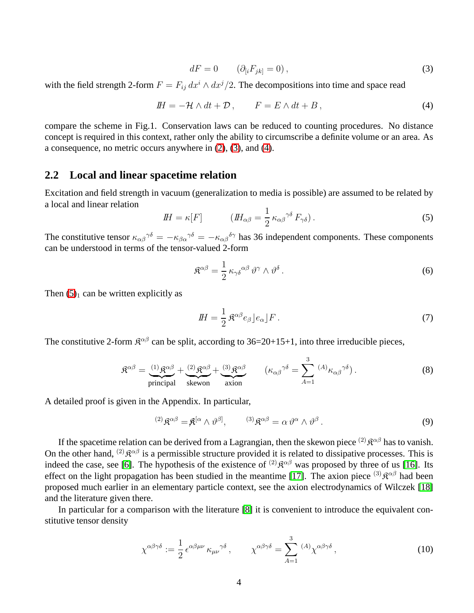<span id="page-3-1"></span>
$$
dF = 0 \qquad (\partial_{[i}F_{jk]} = 0), \qquad (3)
$$

<span id="page-3-0"></span>with the field strength 2-form  $F = F_{ij} dx^{i} \wedge dx^{j}/2$ . The decompositions into time and space read

$$
I H = -\mathcal{H} \wedge dt + \mathcal{D} , \qquad F = E \wedge dt + B , \qquad (4)
$$

compare the scheme in Fig.1. Conservation laws can be reduced to counting procedures. No distance concept is required in this context, rather only the ability to circumscribe a definite volume or an area. As a consequence, no metric occurs anywhere in [\(2\)](#page-2-0), [\(3\)](#page-3-0), and [\(4\)](#page-3-1).

#### **2.2 Local and linear spacetime relation**

<span id="page-3-2"></span>Excitation and field strength in vacuum (generalization to media is possible) are assumed to be related by a local and linear relation

$$
I\!H = \kappa[F] \qquad (I\!H_{\alpha\beta} = \frac{1}{2} \kappa_{\alpha\beta}^{\gamma\delta} F_{\gamma\delta}). \qquad (5)
$$

The constitutive tensor  $\kappa_{\alpha\beta}^{\gamma\delta} = -\kappa_{\beta\alpha}^{\gamma\delta} = -\kappa_{\alpha\beta}^{\delta\gamma}$  has 36 independent components. These components can be understood in terms of the tensor-valued 2-form

<span id="page-3-3"></span>
$$
\mathfrak{K}^{\alpha\beta} = \frac{1}{2} \kappa_{\gamma\delta}^{\alpha\beta} \vartheta^{\gamma} \wedge \vartheta^{\delta} \,. \tag{6}
$$

Then  $(5)<sub>1</sub>$  can be written explicitly as

$$
H = \frac{1}{2} \mathfrak{K}^{\alpha\beta} e_{\beta} \, ]e_{\alpha} \, ]F \, . \tag{7}
$$

The constitutive 2-form  $\mathbb{R}^{\alpha\beta}$  can be split, according to 36=20+15+1, into three irreducible pieces,

$$
\mathfrak{K}^{\alpha\beta} = \underbrace{(1) \mathfrak{K}^{\alpha\beta}}_{\text{principal}} + \underbrace{(2) \mathfrak{K}^{\alpha\beta}}_{\text{skewon}} + \underbrace{(3) \mathfrak{K}^{\alpha\beta}}_{\text{axion}} \qquad (\kappa_{\alpha\beta}^{\gamma\delta} = \sum_{A=1}^{3} {}^{(A)}\kappa_{\alpha\beta}^{\gamma\delta}). \qquad (8)
$$

A detailed proof is given in the Appendix. In particular,

$$
^{(2)}\mathfrak{K}^{\alpha\beta} = \mathfrak{K}^{[\alpha} \wedge \vartheta^{\beta]}, \qquad {}^{(3)}\mathfrak{K}^{\alpha\beta} = \alpha \vartheta^{\alpha} \wedge \vartheta^{\beta}. \qquad (9)
$$

If the spacetime relation can be derived from a Lagrangian, then the skewon piece  $^{(2)}\mathcal{R}^{\alpha\beta}$  has to vanish. On the other hand, <sup>(2)</sup>  $\mathbb{R}^{\alpha\beta}$  is a permissible structure provided it is related to dissipative processes. This is indeed the case, see [\[6\]](#page-13-5). The hypothesis of the existence of  $^{(2)}\mathcal{R}^{\alpha\beta}$  was proposed by three of us [\[16\]](#page-14-0). Its effect on the light propagation has been studied in the meantime [\[17\]](#page-14-1). The axion piece  $^{(3)}\mathcal{R}^{\alpha\beta}$  had been proposed much earlier in an elementary particle context, see the axion electrodynamics of Wilczek [\[18\]](#page-14-2) and the literature given there.

In particular for a comparison with the literature [\[8\]](#page-13-7) it is convenient to introduce the equivalent constitutive tensor density

$$
\chi^{\alpha\beta\gamma\delta} := \frac{1}{2} \epsilon^{\alpha\beta\mu\nu} \kappa_{\mu\nu}^{\gamma\delta} , \qquad \chi^{\alpha\beta\gamma\delta} = \sum_{A=1}^{3} {}^{(A)}\chi^{\alpha\beta\gamma\delta} , \qquad (10)
$$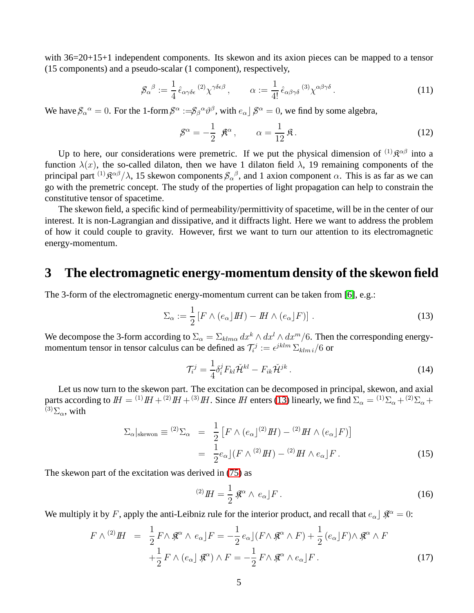with 36=20+15+1 independent components. Its skewon and its axion pieces can be mapped to a tensor (15 components) and a pseudo-scalar (1 component), respectively,

$$
\mathcal{S}_{\alpha}{}^{\beta} := \frac{1}{4} \hat{\epsilon}_{\alpha\gamma\delta\epsilon}{}^{(2)} \chi^{\gamma\delta\epsilon\beta} , \qquad \alpha := \frac{1}{4!} \hat{\epsilon}_{\alpha\beta\gamma\delta}{}^{(3)} \chi^{\alpha\beta\gamma\delta} . \qquad (11)
$$

We have  $\beta_\alpha{}^\alpha = 0$ . For the 1-form  $\beta^\alpha := \beta_\beta{}^\alpha \vartheta^\beta$ , with  $e_\alpha$   $\beta^\alpha = 0$ , we find by some algebra,

$$
\mathcal{S}^{\alpha} = -\frac{1}{2} \mathcal{K}^{\alpha}, \qquad \alpha = \frac{1}{12} \mathcal{R}.
$$
 (12)

Up to here, our considerations were premetric. If we put the physical dimension of  $^{(1)}\mathcal{R}^{\alpha\beta}$  into a function  $\lambda(x)$ , the so-called dilaton, then we have 1 dilaton field  $\lambda$ , 19 remaining components of the principal part  $^{(1)}\mathfrak{K}^{\alpha\beta}/\lambda$ , 15 skewon components  $\beta_{\alpha}{}^{\beta}$ , and 1 axion component  $\alpha$ . This is as far as we can go with the premetric concept. The study of the properties of light propagation can help to constrain the constitutive tensor of spacetime.

The skewon field, a specific kind of permeability/permittivity of spacetime, will be in the center of our interest. It is non-Lagrangian and dissipative, and it diffracts light. Here we want to address the problem of how it could couple to gravity. However, first we want to turn our attention to its electromagnetic energy-momentum.

### **3 The electromagnetic energy-momentum density of the skewon field**

The 3-form of the electromagnetic energy-momentum current can be taken from [\[6\]](#page-13-5), e.g.:

$$
\Sigma_{\alpha} := \frac{1}{2} \left[ F \wedge (e_{\alpha} \rfloor H) - H \wedge (e_{\alpha} \rfloor F) \right]. \tag{13}
$$

We decompose the 3-form according to  $\Sigma_{\alpha} = \Sigma_{klm\alpha} dx^k \wedge dx^l \wedge dx^m/6$ . Then the corresponding energymomentum tensor in tensor calculus can be defined as  $\mathcal{T}_{i}^{j} := \epsilon^{jklm} \sum_{klm} i/6$  or

<span id="page-4-2"></span><span id="page-4-0"></span>
$$
\mathcal{T}_i^j = \frac{1}{4} \delta_i^j F_{kl} \check{\mathcal{H}}^{kl} - F_{ik} \check{\mathcal{H}}^{jk} \,. \tag{14}
$$

<span id="page-4-1"></span>Let us now turn to the skewon part. The excitation can be decomposed in principal, skewon, and axial parts according to  $I = {}^{(1)}I H + {}^{(2)}I H + {}^{(3)}I H$ . Since IH enters [\(13\)](#page-4-0) linearly, we find  $\Sigma_{\alpha} = {}^{(1)}\Sigma_{\alpha} + {}^{(2)}\Sigma_{\alpha} + {}^{(3)}I H + {}^{(4)}I H + {}^{(5)}I H$ .  $^{(3)}\Sigma_{\alpha}$ , with

$$
\Sigma_{\alpha}|_{\text{skewon}} \equiv {}^{(2)}\Sigma_{\alpha} = \frac{1}{2} \left[ F \wedge (e_{\alpha})^{(2)} H \right] - {}^{(2)}H \wedge (e_{\alpha}) F \right]
$$

$$
= \frac{1}{2} e_{\alpha} \left[ (F \wedge {}^{(2)}H) - {}^{(2)}H \wedge e_{\alpha} \right] F. \tag{15}
$$

The skewon part of the excitation was derived in [\(75\)](#page-13-15) as

$$
^{(2)}H = \frac{1}{2} \mathcal{R}^{\alpha} \wedge e_{\alpha} \rfloor F \,.
$$

We multiply it by F, apply the anti-Leibniz rule for the interior product, and recall that  $e_\alpha$   $\beta \mathcal{R}^\alpha = 0$ :

$$
F \wedge {}^{(2)}H = \frac{1}{2} F \wedge \mathcal{R}^{\alpha} \wedge e_{\alpha} \rfloor F = -\frac{1}{2} e_{\alpha} \rfloor (F \wedge \mathcal{R}^{\alpha} \wedge F) + \frac{1}{2} (e_{\alpha} \rfloor F) \wedge \mathcal{R}^{\alpha} \wedge F
$$

$$
+ \frac{1}{2} F \wedge (e_{\alpha} \rfloor \mathcal{R}^{\alpha}) \wedge F = -\frac{1}{2} F \wedge \mathcal{R}^{\alpha} \wedge e_{\alpha} \rfloor F.
$$
(17)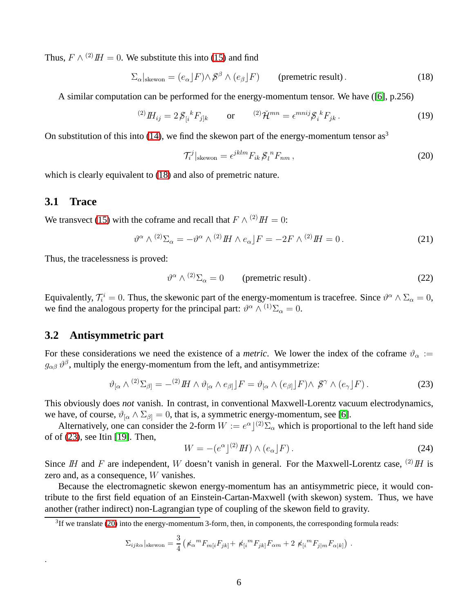Thus,  $F \wedge {}^{(2)}H = 0$ . We substitute this into [\(15\)](#page-4-1) and find

<span id="page-5-0"></span>
$$
\Sigma_{\alpha}|_{\text{skewon}} = (e_{\alpha}|F) \wedge \mathcal{S}^{\beta} \wedge (e_{\beta}|F) \qquad \text{(premetric result)}.
$$
 (18)

A similar computation can be performed for the energy-momentum tensor. We have ([\[6\]](#page-13-5), p.256)

$$
^{(2)}H_{ij} = 2\mathcal{S}_{[i}{}^{k}F_{j]k} \qquad \text{or} \qquad {}^{(2)}\check{\mathcal{H}}^{mn} = \epsilon^{mnij}\mathcal{S}_{i}{}^{k}F_{jk} \,. \tag{19}
$$

On substitution of this into [\(14\)](#page-4-2), we find the skewon part of the energy-momentum tensor as<sup>3</sup>

$$
\mathcal{T}_{i}^{j}|_{\text{skewon}} = \epsilon^{jklm} F_{ik} \mathcal{S}_{l}^{n} F_{nm} , \qquad (20)
$$

which is clearly equivalent to [\(18\)](#page-5-0) and also of premetric nature.

#### **3.1 Trace**

.

We transvect [\(15\)](#page-4-1) with the coframe and recall that  $F \wedge {}^{(2)}H = 0$ :

$$
\vartheta^{\alpha} \wedge {}^{(2)}\Sigma_{\alpha} = -\vartheta^{\alpha} \wedge {}^{(2)}I\!H \wedge e_{\alpha} \rfloor F = -2F \wedge {}^{(2)}I\!H = 0. \tag{21}
$$

Thus, the tracelessness is proved:

<span id="page-5-1"></span>
$$
\vartheta^{\alpha} \wedge {}^{(2)}\Sigma_{\alpha} = 0 \qquad \text{(premetric result)}.
$$

Equivalently,  $\mathcal{T}_i^i = 0$ . Thus, the skewonic part of the energy-momentum is tracefree. Since  $\vartheta^\alpha \wedge \Sigma_\alpha = 0$ , we find the analogous property for the principal part:  $\vartheta^{\alpha} \wedge^{(1)} \Sigma_{\alpha} = 0$ .

#### **3.2 Antisymmetric part**

For these considerations we need the existence of a *metric*. We lower the index of the coframe  $\vartheta_{\alpha}$  :=  $g_{\alpha\beta} \,\vartheta^\beta$ , multiply the energy-momentum from the left, and antisymmetrize:

$$
\vartheta_{\left[\alpha\right]} \wedge {}^{(2)}\Sigma_{\beta} = - {}^{(2)}H \wedge \vartheta_{\left[\alpha\right]} \wedge e_{\beta\left]} \rfloor F = \vartheta_{\left[\alpha\right]} \wedge (e_{\beta\left]} \rfloor F) \wedge \mathcal{S}^{\gamma} \wedge (e_{\gamma} \rfloor F) \,. \tag{23}
$$

This obviously does *not* vanish. In contrast, in conventional Maxwell-Lorentz vacuum electrodynamics, we have, of course,  $\vartheta_{\alpha} \wedge \Sigma_{\beta} = 0$ , that is, a symmetric energy-momentum, see [\[6\]](#page-13-5).

Alternatively, one can consider the 2-form  $W := e^{\alpha} \int^{(2)} \Sigma_{\alpha}$  which is proportional to the left hand side of of [\(23\)](#page-5-1), see Itin [\[19\]](#page-14-3). Then,

<span id="page-5-2"></span>
$$
W = -(e^{\alpha})^{(2)} H) \wedge (e_{\alpha}) F). \tag{24}
$$

Since IH and F are independent, W doesn't vanish in general. For the Maxwell-Lorentz case,  $^{(2)}$  IH is zero and, as a consequence, W vanishes.

Because the electromagnetic skewon energy-momentum has an antisymmetric piece, it would contribute to the first field equation of an Einstein-Cartan-Maxwell (with skewon) system. Thus, we have another (rather indirect) non-Lagrangian type of coupling of the skewon field to gravity.

$$
\Sigma_{ijk\alpha}|_{\text{skewon}} = \frac{3}{4} \left( \n\kappa_{\alpha}{}^{m} F_{m[i} F_{jk]} + \n\kappa_{[i}{}^{m} F_{jk]} F_{\alpha m} + 2 \n\kappa_{[i}{}^{m} F_{j|m} F_{\alpha|k]} \right).
$$

 ${}^{3}$ If we translate [\(20\)](#page-5-2) into the energy-momentum 3-form, then, in components, the corresponding formula reads: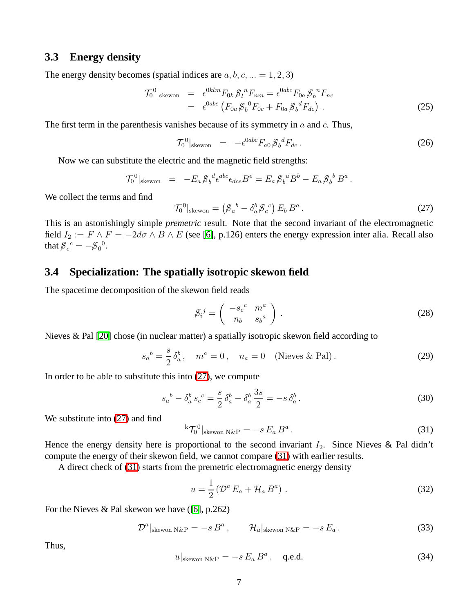#### **3.3 Energy density**

The energy density becomes (spatial indices are  $a, b, c, ... = 1, 2, 3$ )

$$
\mathcal{T}_0^0|_{\text{skewon}} = \epsilon^{0klm} F_{0k} \mathcal{J}_l^n F_{nm} = \epsilon^{0abc} F_{0a} \mathcal{J}_b^n F_{nc}
$$
  
=  $\epsilon^{0abc} (F_{0a} \mathcal{J}_b^n F_{0c} + F_{0a} \mathcal{J}_b^n F_{dc})$ . (25)

The first term in the parenthesis vanishes because of its symmetry in  $a$  and  $c$ . Thus,

$$
\mathcal{T}_0{}^0|_{\text{skewon}} = -\epsilon^{0abc} F_{a0} \mathcal{J}_b{}^d F_{dc} \,. \tag{26}
$$

Now we can substitute the electric and the magnetic field strengths:

<span id="page-6-0"></span>
$$
\mathcal{T}_0^0|_{\text{skewon}} = -E_a \mathcal{J}_b^d \epsilon^{abc} \epsilon_{dce} B^e = E_a \mathcal{J}_b^a B^b - E_a \mathcal{J}_b^b B^a.
$$

We collect the terms and find

$$
\mathcal{T}_0^0|_{\text{skewon}} = \left(\mathcal{S}_a^b - \delta_a^b \mathcal{S}_c^c\right) E_b B^a. \tag{27}
$$

This is an astonishingly simple *premetric* result. Note that the second invariant of the electromagnetic field  $I_2 := F \wedge F = -2d\sigma \wedge B \wedge E$  (see [\[6\]](#page-13-5), p.126) enters the energy expression inter alia. Recall also that  $g_c^c = -g_0^c$ .

### **3.4 Specialization: The spatially isotropic skewon field**

The spacetime decomposition of the skewon field reads

$$
\mathcal{S}_i^j = \left( \begin{array}{cc} -s_c{}^c & m^a \\ n_b & s_b{}^a \end{array} \right) \,. \tag{28}
$$

Nieves & Pal [\[20\]](#page-14-4) chose (in nuclear matter) a spatially isotropic skewon field according to

$$
s_a{}^b = \frac{s}{2} \delta_a^b
$$
,  $m^a = 0$ ,  $n_a = 0$  (Nieves & Pal). (29)

In order to be able to substitute this into  $(27)$ , we compute

<span id="page-6-1"></span>
$$
s_a{}^b - \delta_a^b s_c{}^c = \frac{s}{2} \delta_a^b - \delta_a^b \frac{3s}{2} = -s \delta_a^b \,. \tag{30}
$$

We substitute into  $(27)$  and find

$$
{}^{k} \mathcal{T}_{0}^{0} \vert_{\text{skewon N\&P}} = -s E_a B^a \,. \tag{31}
$$

Hence the energy density here is proportional to the second invariant  $I_2$ . Since Nieves & Pal didn't compute the energy of their skewon field, we cannot compare [\(31\)](#page-6-1) with earlier results.

A direct check of [\(31\)](#page-6-1) starts from the premetric electromagnetic energy density

$$
u = \frac{1}{2} \left( \mathcal{D}^a E_a + \mathcal{H}_a B^a \right) . \tag{32}
$$

For the Nieves & Pal skewon we have ([\[6\]](#page-13-5), p.262)

$$
\mathcal{D}^{a}|_{\text{skewon N\&P}} = -s B^{a}, \qquad \mathcal{H}_{a}|_{\text{skewon N\&P}} = -s E_{a}. \qquad (33)
$$

Thus,

$$
u|_{\text{skewon N\&P}} = -s E_a B^a, \quad \text{q.e.d.}
$$
 (34)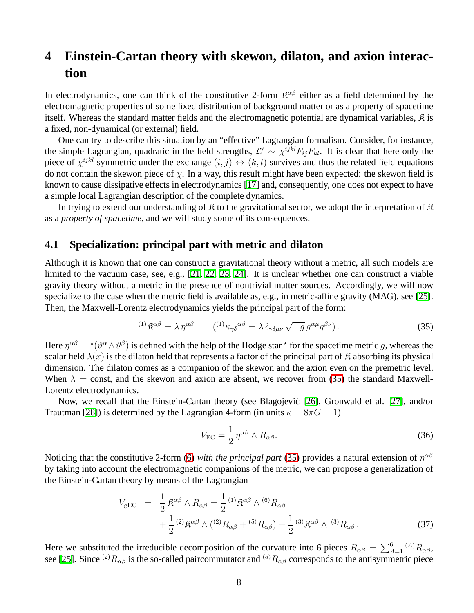## **4 Einstein-Cartan theory with skewon, dilaton, and axion interaction**

In electrodynamics, one can think of the constitutive 2-form  $\mathcal{R}^{\alpha\beta}$  either as a field determined by the electromagnetic properties of some fixed distribution of background matter or as a property of spacetime itself. Whereas the standard matter fields and the electromagnetic potential are dynamical variables,  $\hat{\mathcal{R}}$  is a fixed, non-dynamical (or external) field.

One can try to describe this situation by an "effective" Lagrangian formalism. Consider, for instance, the simple Lagrangian, quadratic in the field strengths,  $\mathcal{L}' \sim \chi^{ijkl} F_{ij} F_{kl}$ . It is clear that here only the piece of  $\chi^{ijkl}$  symmetric under the exchange  $(i, j) \leftrightarrow (k, l)$  survives and thus the related field equations do not contain the skewon piece of  $\chi$ . In a way, this result might have been expected: the skewon field is known to cause dissipative effects in electrodynamics [\[17\]](#page-14-1) and, consequently, one does not expect to have a simple local Lagrangian description of the complete dynamics.

In trying to extend our understanding of  $\mathfrak K$  to the gravitational sector, we adopt the interpretation of  $\mathfrak K$ as a *property of spacetime*, and we will study some of its consequences.

#### **4.1 Specialization: principal part with metric and dilaton**

Although it is known that one can construct a gravitational theory without a metric, all such models are limited to the vacuum case, see, e.g., [\[21,](#page-14-5) [22,](#page-14-6) [23,](#page-14-7) [24\]](#page-14-8). It is unclear whether one can construct a viable gravity theory without a metric in the presence of nontrivial matter sources. Accordingly, we will now specialize to the case when the metric field is available as, e.g., in metric-affine gravity (MAG), see [\[25\]](#page-14-9). Then, the Maxwell-Lorentz electrodynamics yields the principal part of the form:

<span id="page-7-0"></span>
$$
^{(1)}\mathfrak{K}^{\alpha\beta} = \lambda \eta^{\alpha\beta} \qquad (^{(1)}\kappa_{\gamma\delta}{}^{\alpha\beta} = \lambda \,\hat{\epsilon}_{\gamma\delta\mu\nu} \sqrt{-g} \, g^{\alpha\mu} g^{\beta\nu}). \tag{35}
$$

Here  $\eta^{\alpha\beta} = {}^{\star}(\vartheta^{\alpha} \wedge \vartheta^{\beta})$  is defined with the help of the Hodge star  ${}^{\star}$  for the spacetime metric g, whereas the scalar field  $\lambda(x)$  is the dilaton field that represents a factor of the principal part of  $\hat{\mathcal{R}}$  absorbing its physical dimension. The dilaton comes as a companion of the skewon and the axion even on the premetric level. When  $\lambda$  = const, and the skewon and axion are absent, we recover from [\(35\)](#page-7-0) the standard Maxwell-Lorentz electrodynamics.

Now, we recall that the Einstein-Cartan theory (see Blagojević [\[26\]](#page-14-10), Gronwald et al. [\[27\]](#page-14-11), and/or Trautman [\[28\]](#page-14-12)) is determined by the Lagrangian 4-form (in units  $\kappa = 8\pi G = 1$ )

$$
V_{\rm EC} = \frac{1}{2} \eta^{\alpha\beta} \wedge R_{\alpha\beta}.
$$
 (36)

<span id="page-7-1"></span>Noticing that the constitutive 2-form [\(6\)](#page-3-3) *with the principal part* [\(35\)](#page-7-0) provides a natural extension of  $\eta^{\alpha\beta}$ by taking into account the electromagnetic companions of the metric, we can propose a generalization of the Einstein-Cartan theory by means of the Lagrangian

$$
V_{\text{gEC}} = \frac{1}{2} \mathfrak{K}^{\alpha\beta} \wedge R_{\alpha\beta} = \frac{1}{2} {}^{(1)}\mathfrak{K}^{\alpha\beta} \wedge {}^{(6)}R_{\alpha\beta} + \frac{1}{2} {}^{(2)}\mathfrak{K}^{\alpha\beta} \wedge ({}^{(2)}R_{\alpha\beta} + {}^{(5)}R_{\alpha\beta}) + \frac{1}{2} {}^{(3)}\mathfrak{K}^{\alpha\beta} \wedge {}^{(3)}R_{\alpha\beta} .
$$
 (37)

Here we substituted the irreducible decomposition of the curvature into 6 pieces  $R_{\alpha\beta} = \sum_{A=1}^{6} {}^{(A)}R_{\alpha\beta}$ , see [\[25\]](#page-14-9). Since <sup>(2)</sup> $R_{\alpha\beta}$  is the so-called paircommutator and <sup>(5)</sup> $R_{\alpha\beta}$  corresponds to the antisymmetric piece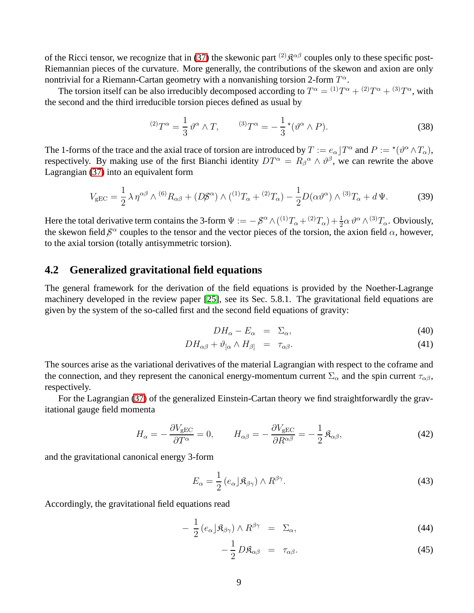of the Ricci tensor, we recognize that in [\(37\)](#page-7-1) the skewonic part <sup>(2)</sup> $\mathfrak{K}^{\alpha\beta}$  couples only to these specific post-Riemannian pieces of the curvature. More generally, the contributions of the skewon and axion are only nontrivial for a Riemann-Cartan geometry with a nonvanishing torsion 2-form  $T^{\alpha}$ .

The torsion itself can be also irreducibly decomposed according to  $T^{\alpha} = {}^{(1)}T^{\alpha} + {}^{(2)}T^{\alpha} + {}^{(3)}T^{\alpha}$ , with the second and the third irreducible torsion pieces defined as usual by

$$
^{(2)}T^{\alpha} = \frac{1}{3} \vartheta^{\alpha} \wedge T, \qquad ^{(3)}T^{\alpha} = -\frac{1}{3} \star (\vartheta^{\alpha} \wedge P). \tag{38}
$$

The 1-forms of the trace and the axial trace of torsion are introduced by  $T := e_{\alpha} \rfloor T^{\alpha}$  and  $P := {}^{\star} (\vartheta^{\alpha} \wedge T_{\alpha}),$ respectively. By making use of the first Bianchi identity  $DT^{\alpha} = R_{\beta}^{\alpha} \wedge \vartheta^{\beta}$ , we can rewrite the above Lagrangian [\(37\)](#page-7-1) into an equivalent form

$$
V_{\rm gEC} = \frac{1}{2} \lambda \eta^{\alpha\beta} \wedge {}^{(6)}R_{\alpha\beta} + (D\beta^{\alpha}) \wedge ({}^{(1)}T_{\alpha} + {}^{(2)}T_{\alpha}) - \frac{1}{2}D(\alpha\vartheta^{\alpha}) \wedge {}^{(3)}T_{\alpha} + d\Psi.
$$
 (39)

Here the total derivative term contains the 3-form  $\Psi := -\frac{\beta^{\alpha}}{\alpha} \wedge (1)^{1}T_{\alpha} + (2)^{2}T_{\alpha} + \frac{1}{2}\alpha \vartheta^{\alpha} \wedge (3)^{2}T_{\alpha}$ . Obviously, the skewon field  $\beta^{\alpha}$  couples to the tensor and the vector pieces of the torsion, the axion field  $\alpha$ , however, to the axial torsion (totally antisymmetric torsion).

#### **4.2 Generalized gravitational field equations**

The general framework for the derivation of the field equations is provided by the Noether-Lagrange machinery developed in the review paper [\[25\]](#page-14-9), see its Sec. 5.8.1. The gravitational field equations are given by the system of the so-called first and the second field equations of gravity:

$$
DH_{\alpha} - E_{\alpha} = \Sigma_{\alpha}, \tag{40}
$$

$$
DH_{\alpha\beta} + \vartheta_{[\alpha} \wedge H_{\beta]} = \tau_{\alpha\beta}.
$$
 (41)

The sources arise as the variational derivatives of the material Lagrangian with respect to the coframe and the connection, and they represent the canonical energy-momentum current  $\Sigma_{\alpha}$  and the spin current  $\tau_{\alpha\beta}$ , respectively.

For the Lagrangian [\(37\)](#page-7-1) of the generalized Einstein-Cartan theory we find straightforwardly the gravitational gauge field momenta

$$
H_{\alpha} = -\frac{\partial V_{\text{gEC}}}{\partial T^{\alpha}} = 0, \qquad H_{\alpha\beta} = -\frac{\partial V_{\text{gEC}}}{\partial R^{\alpha\beta}} = -\frac{1}{2} \mathfrak{K}_{\alpha\beta}, \tag{42}
$$

and the gravitational canonical energy 3-form

$$
E_{\alpha} = \frac{1}{2} \left( e_{\alpha} \right) \mathfrak{K}_{\beta \gamma} \right) \wedge R^{\beta \gamma}.
$$
 (43)

Accordingly, the gravitational field equations read

$$
-\frac{1}{2}\left(e_{\alpha}\right) \mathfrak{K}_{\beta\gamma}\right) \wedge R^{\beta\gamma} = \Sigma_{\alpha},\tag{44}
$$

$$
-\frac{1}{2}D\mathfrak{K}_{\alpha\beta} = \tau_{\alpha\beta}.\tag{45}
$$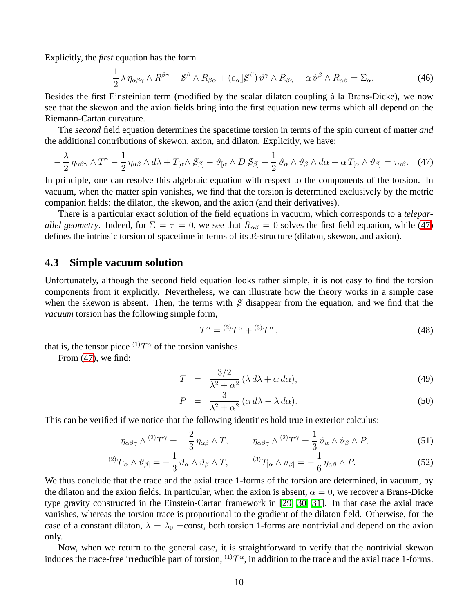Explicitly, the *first* equation has the form

<span id="page-9-0"></span>
$$
-\frac{1}{2}\lambda\,\eta_{\alpha\beta\gamma}\wedge R^{\beta\gamma}-\mathcal{S}^{\beta}\wedge R_{\beta\alpha}+(e_{\alpha}\,\vert\mathcal{S}^{\beta})\,\vartheta^{\gamma}\wedge R_{\beta\gamma}-\alpha\,\vartheta^{\beta}\wedge R_{\alpha\beta}=\Sigma_{\alpha}.\tag{46}
$$

Besides the first Einsteinian term (modified by the scalar dilaton coupling à la Brans-Dicke), we now see that the skewon and the axion fields bring into the first equation new terms which all depend on the Riemann-Cartan curvature.

The *second* field equation determines the spacetime torsion in terms of the spin current of matter *and* the additional contributions of skewon, axion, and dilaton. Explicitly, we have:

$$
-\frac{\lambda}{2}\eta_{\alpha\beta\gamma}\wedge T^{\gamma}-\frac{1}{2}\eta_{\alpha\beta}\wedge d\lambda+T_{[\alpha}\wedge\mathcal{B}_{\beta]}-\vartheta_{[\alpha}\wedge D\mathcal{B}_{\beta]}-\frac{1}{2}\vartheta_{\alpha}\wedge\vartheta_{\beta}\wedge d\alpha-\alpha T_{[\alpha}\wedge\vartheta_{\beta]}=\tau_{\alpha\beta}.\tag{47}
$$

In principle, one can resolve this algebraic equation with respect to the components of the torsion. In vacuum, when the matter spin vanishes, we find that the torsion is determined exclusively by the metric companion fields: the dilaton, the skewon, and the axion (and their derivatives).

There is a particular exact solution of the field equations in vacuum, which corresponds to a *teleparallel geometry*. Indeed, for  $\Sigma = \tau = 0$ , we see that  $R_{\alpha\beta} = 0$  solves the first field equation, while [\(47\)](#page-9-0) defines the intrinsic torsion of spacetime in terms of its  $\mathcal{R}$ -structure (dilaton, skewon, and axion).

#### **4.3 Simple vacuum solution**

Unfortunately, although the second field equation looks rather simple, it is not easy to find the torsion components from it explicitly. Nevertheless, we can illustrate how the theory works in a simple case when the skewon is absent. Then, the terms with  $\beta$  disappear from the equation, and we find that the *vacuum* torsion has the following simple form,

$$
T^{\alpha} = {}^{(2)}T^{\alpha} + {}^{(3)}T^{\alpha}, \tag{48}
$$

that is, the tensor piece  $^{(1)}T^{\alpha}$  of the torsion vanishes.

From [\(47\)](#page-9-0), we find:

$$
T = \frac{3/2}{\lambda^2 + \alpha^2} (\lambda \, d\lambda + \alpha \, d\alpha),\tag{49}
$$

$$
P = \frac{3}{\lambda^2 + \alpha^2} (\alpha \, d\lambda - \lambda \, d\alpha). \tag{50}
$$

This can be verified if we notice that the following identities hold true in exterior calculus:

$$
\eta_{\alpha\beta\gamma} \wedge {}^{(2)}T^{\gamma} = -\frac{2}{3} \eta_{\alpha\beta} \wedge T, \qquad \eta_{\alpha\beta\gamma} \wedge {}^{(2)}T^{\gamma} = \frac{1}{3} \vartheta_{\alpha} \wedge \vartheta_{\beta} \wedge P,\tag{51}
$$

$$
^{(2)}T_{[\alpha}\wedge\vartheta_{\beta]} = -\frac{1}{3}\vartheta_{\alpha}\wedge\vartheta_{\beta}\wedge T, \qquad {}^{(3)}T_{[\alpha}\wedge\vartheta_{\beta]} = -\frac{1}{6}\eta_{\alpha\beta}\wedge P. \qquad (52)
$$

We thus conclude that the trace and the axial trace 1-forms of the torsion are determined, in vacuum, by the dilaton and the axion fields. In particular, when the axion is absent,  $\alpha = 0$ , we recover a Brans-Dicke type gravity constructed in the Einstein-Cartan framework in [\[29,](#page-14-13) [30,](#page-14-14) [31\]](#page-14-15). In that case the axial trace vanishes, whereas the torsion trace is proportional to the gradient of the dilaton field. Otherwise, for the case of a constant dilaton,  $\lambda = \lambda_0$  =const, both torsion 1-forms are nontrivial and depend on the axion only.

Now, when we return to the general case, it is straightforward to verify that the nontrivial skewon induces the trace-free irreducible part of torsion,  $^{(1)}T^{\alpha}$ , in addition to the trace and the axial trace 1-forms.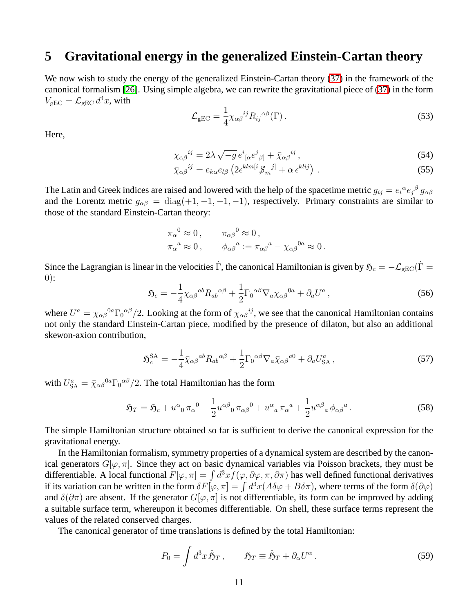### **5 Gravitational energy in the generalized Einstein-Cartan theory**

We now wish to study the energy of the generalized Einstein-Cartan theory [\(37\)](#page-7-1) in the framework of the canonical formalism [\[26\]](#page-14-10). Using simple algebra, we can rewrite the gravitational piece of [\(37\)](#page-7-1) in the form  $V_{\text{gEC}} = \mathcal{L}_{\text{gEC}} d^4x$ , with

$$
\mathcal{L}_{\rm gEC} = \frac{1}{4} \chi_{\alpha\beta}^{ij} R_{ij}^{\alpha\beta}(\Gamma) \,. \tag{53}
$$

Here,

$$
\chi_{\alpha\beta}^{ij} = 2\lambda \sqrt{-g} \, e^i_{\, [\alpha} e^j_{\, \beta]} + \bar{\chi}_{\alpha\beta}^{ij} \,, \tag{54}
$$

$$
\bar{\chi}_{\alpha\beta}^{ij} = e_{k\alpha}e_{l\beta}\left(2\epsilon^{klm[i}\mathcal{G}_m{}^{j]} + \alpha\,\epsilon^{klij}\right) \,. \tag{55}
$$

The Latin and Greek indices are raised and lowered with the help of the spacetime metric  $g_{ij} = e_i{}^{\alpha}e_j{}^{\beta}g_{\alpha\beta}$ and the Lorentz metric  $g_{\alpha\beta} = \text{diag}(+1, -1, -1, -1)$ , respectively. Primary constraints are similar to those of the standard Einstein-Cartan theory:

$$
\pi_{\alpha}^{0} \approx 0, \qquad \pi_{\alpha\beta}^{0} \approx 0,
$$
  

$$
\pi_{\alpha}^{a} \approx 0, \qquad \phi_{\alpha\beta}^{a} := \pi_{\alpha\beta}^{a} - \chi_{\alpha\beta}^{0a} \approx 0.
$$

Since the Lagrangian is linear in the velocities  $\dot{\Gamma}$ , the canonical Hamiltonian is given by  $\mathfrak{H}_c = -\mathcal{L}_{gEC}(\dot{\Gamma} = \dot{\Gamma})$  $0)$ :

$$
\mathfrak{H}_c = -\frac{1}{4} \chi_{\alpha\beta}{}^{ab} R_{ab}{}^{\alpha\beta} + \frac{1}{2} \Gamma_0{}^{\alpha\beta} \nabla_a \chi_{\alpha\beta}{}^{0a} + \partial_a U^a \,, \tag{56}
$$

where  $U^a = \chi_{\alpha\beta}{}^{0a} \Gamma_0{}^{\alpha\beta}/2$ . Looking at the form of  $\chi_{\alpha\beta}{}^{ij}$ , we see that the canonical Hamiltonian contains not only the standard Einstein-Cartan piece, modified by the presence of dilaton, but also an additional skewon-axion contribution,

$$
\mathfrak{H}_c^{\text{SA}} = -\frac{1}{4} \bar{\chi}_{\alpha\beta}{}^{ab} R_{ab}{}^{\alpha\beta} + \frac{1}{2} \Gamma_0{}^{\alpha\beta} \nabla_a \bar{\chi}_{\alpha\beta}{}^{a0} + \partial_a U_{\text{SA}}^a \,, \tag{57}
$$

with  $U_{\rm SA}^a = \bar{\chi}_{\alpha\beta}{}^{0a} \Gamma_0{}^{\alpha\beta}/2$ . The total Hamiltonian has the form

$$
\mathfrak{H}_T = \mathfrak{H}_c + u^{\alpha}{}_{0} \pi_{\alpha}{}^{0} + \frac{1}{2} u^{\alpha \beta}{}_{0} \pi_{\alpha \beta}{}^{0} + u^{\alpha}{}_{a} \pi_{\alpha}{}^{a} + \frac{1}{2} u^{\alpha \beta}{}_{a} \phi_{\alpha \beta}{}^{a}.
$$
 (58)

The simple Hamiltonian structure obtained so far is sufficient to derive the canonical expression for the gravitational energy.

In the Hamiltonian formalism, symmetry properties of a dynamical system are described by the canonical generators  $G[\varphi, \pi]$ . Since they act on basic dynamical variables via Poisson brackets, they must be differentiable. A local functional  $F[\varphi, \pi] = \int d^3x f(\varphi, \partial \varphi, \pi, \partial \pi)$  has well defined functional derivatives if its variation can be written in the form  $\delta F[\varphi, \pi] = \int d^3x (A\delta\varphi + B\delta\pi)$ , where terms of the form  $\delta(\partial\varphi)$ and  $\delta(\partial \pi)$  are absent. If the generator  $G[\varphi, \pi]$  is not differentiable, its form can be improved by adding a suitable surface term, whereupon it becomes differentiable. On shell, these surface terms represent the values of the related conserved charges.

The canonical generator of time translations is defined by the total Hamiltonian:

$$
P_0 = \int d^3x \,\hat{\mathfrak{H}}_T \,, \qquad \mathfrak{H}_T \equiv \hat{\mathfrak{H}}_T + \partial_\alpha U^\alpha \,. \tag{59}
$$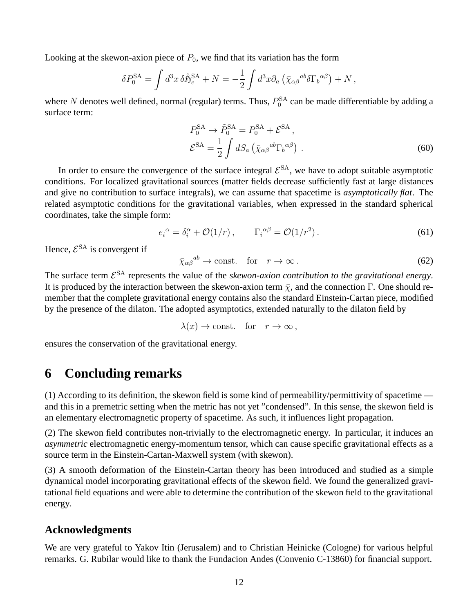Looking at the skewon-axion piece of  $P_0$ , we find that its variation has the form

$$
\delta P_0^{\text{SA}} = \int d^3x \, \delta \hat{\mathfrak{H}}_c^{\text{SA}} + N = -\frac{1}{2} \int d^3x \partial_a \left( \bar{\chi}_{\alpha\beta}{}^{ab} \delta \Gamma_b{}^{\alpha\beta} \right) + N \,,
$$

where N denotes well defined, normal (regular) terms. Thus,  $P_0^{\text{SA}}$  can be made differentiable by adding a surface term:

$$
P_0^{\text{SA}} \rightarrow \tilde{P}_0^{\text{SA}} = P_0^{\text{SA}} + \mathcal{E}^{\text{SA}},
$$
  

$$
\mathcal{E}^{\text{SA}} = \frac{1}{2} \int dS_a \left( \bar{\chi}_{\alpha\beta}^{ab} \Gamma_b^{\alpha\beta} \right).
$$
 (60)

In order to ensure the convergence of the surface integral  $\mathcal{E}^{SA}$ , we have to adopt suitable asymptotic conditions. For localized gravitational sources (matter fields decrease sufficiently fast at large distances and give no contribution to surface integrals), we can assume that spacetime is *asymptotically flat*. The related asymptotic conditions for the gravitational variables, when expressed in the standard spherical coordinates, take the simple form:

$$
e_i^{\alpha} = \delta_i^{\alpha} + \mathcal{O}(1/r) , \qquad \Gamma_i^{\alpha\beta} = \mathcal{O}(1/r^2) . \tag{61}
$$

Hence,  $\mathcal{E}^{\text{SA}}$  is convergent if

$$
\bar{\chi}_{\alpha\beta}^{ab} \to \text{const.} \quad \text{for} \quad r \to \infty \,. \tag{62}
$$

The surface term  $\mathcal{E}^{SA}$  represents the value of the *skewon-axion contribution to the gravitational energy*. It is produced by the interaction between the skewon-axion term  $\bar{\chi}$ , and the connection Γ. One should remember that the complete gravitational energy contains also the standard Einstein-Cartan piece, modified by the presence of the dilaton. The adopted asymptotics, extended naturally to the dilaton field by

 $\lambda(x) \to \text{const.}$  for  $r \to \infty$ ,

ensures the conservation of the gravitational energy.

### **6 Concluding remarks**

(1) According to its definition, the skewon field is some kind of permeability/permittivity of spacetime and this in a premetric setting when the metric has not yet "condensed". In this sense, the skewon field is an elementary electromagnetic property of spacetime. As such, it influences light propagation.

(2) The skewon field contributes non-trivially to the electromagnetic energy. In particular, it induces an *asymmetric* electromagnetic energy-momentum tensor, which can cause specific gravitational effects as a source term in the Einstein-Cartan-Maxwell system (with skewon).

(3) A smooth deformation of the Einstein-Cartan theory has been introduced and studied as a simple dynamical model incorporating gravitational effects of the skewon field. We found the generalized gravitational field equations and were able to determine the contribution of the skewon field to the gravitational energy.

#### **Acknowledgments**

We are very grateful to Yakov Itin (Jerusalem) and to Christian Heinicke (Cologne) for various helpful remarks. G. Rubilar would like to thank the Fundacion Andes (Convenio C-13860) for financial support.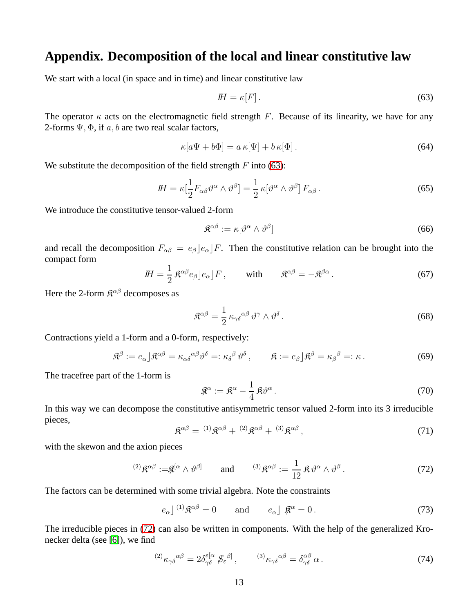### **Appendix. Decomposition of the local and linear constitutive law**

We start with a local (in space and in time) and linear constitutive law

<span id="page-12-0"></span>
$$
H = \kappa[F]. \tag{63}
$$

The operator  $\kappa$  acts on the electromagnetic field strength F. Because of its linearity, we have for any 2-forms  $\Psi$ ,  $\Phi$ , if a, b are two real scalar factors,

$$
\kappa[a\Psi + b\Phi] = a\,\kappa[\Psi] + b\,\kappa[\Phi].\tag{64}
$$

We substitute the decomposition of the field strength  $F$  into [\(63\)](#page-12-0):

$$
I\!H = \kappa \left[ \frac{1}{2} F_{\alpha\beta} \vartheta^{\alpha} \wedge \vartheta^{\beta} \right] = \frac{1}{2} \kappa [\vartheta^{\alpha} \wedge \vartheta^{\beta}] F_{\alpha\beta} . \tag{65}
$$

We introduce the constitutive tensor-valued 2-form

$$
\mathfrak{K}^{\alpha\beta} := \kappa[\vartheta^{\alpha} \wedge \vartheta^{\beta}] \tag{66}
$$

<span id="page-12-3"></span>and recall the decomposition  $F_{\alpha\beta} = e_{\beta} |e_{\alpha}| F$ . Then the constitutive relation can be brought into the compact form

$$
I\!H = \frac{1}{2} \mathfrak{K}^{\alpha\beta} e_{\beta} \rfloor e_{\alpha} \rfloor F \,, \qquad \text{with} \qquad \mathfrak{K}^{\alpha\beta} = -\mathfrak{K}^{\beta\alpha} \,. \tag{67}
$$

Here the 2-form  $\mathfrak{K}^{\alpha\beta}$  decomposes as

$$
\mathfrak{K}^{\alpha\beta} = \frac{1}{2} \kappa_{\gamma\delta}^{\alpha\beta} \vartheta^{\gamma} \wedge \vartheta^{\delta} \,. \tag{68}
$$

Contractions yield a 1-form and a 0-form, respectively:

$$
\mathfrak{K}^{\beta} := e_{\alpha} \rfloor \mathfrak{K}^{\alpha \beta} = \kappa_{\alpha \delta}^{\alpha \beta} \vartheta^{\delta} =: \kappa_{\delta}^{\beta} \vartheta^{\delta}, \qquad \mathfrak{K} := e_{\beta} \rfloor \mathfrak{K}^{\beta} = \kappa_{\beta}^{\beta} =: \kappa.
$$
 (69)

The tracefree part of the 1-form is

$$
\mathfrak{K}^{\alpha} := \mathfrak{K}^{\alpha} - \frac{1}{4} \mathfrak{K} \vartheta^{\alpha}.
$$
 (70)

<span id="page-12-2"></span>In this way we can decompose the constitutive antisymmetric tensor valued 2-form into its 3 irreducible pieces,

$$
\mathfrak{K}^{\alpha\beta} = {}^{(1)}\mathfrak{K}^{\alpha\beta} + {}^{(2)}\mathfrak{K}^{\alpha\beta} + {}^{(3)}\mathfrak{K}^{\alpha\beta},
$$
\n
$$
(71)
$$

with the skewon and the axion pieces

<span id="page-12-1"></span>
$$
^{(2)}\mathfrak{K}^{\alpha\beta} := \mathfrak{K}^{[\alpha} \wedge \vartheta^{\beta]} \qquad \text{and} \qquad ^{(3)}\mathfrak{K}^{\alpha\beta} := \frac{1}{12} \mathfrak{K} \vartheta^{\alpha} \wedge \vartheta^{\beta}. \tag{72}
$$

The factors can be determined with some trivial algebra. Note the constraints

$$
e_{\alpha} \rfloor^{(1)} \mathfrak{K}^{\alpha \beta} = 0 \quad \text{and} \quad e_{\alpha} \rfloor \mathfrak{K}^{\alpha} = 0. \tag{73}
$$

The irreducible pieces in [\(72\)](#page-12-1) can also be written in components. With the help of the generalized Kronecker delta (see [\[6\]](#page-13-5)), we find

$$
^{(2)}\kappa_{\gamma\delta}{}^{\alpha\beta} = 2\delta^{\varepsilon[\alpha}_{\gamma\delta}{}^{\beta}{}_{\beta\varepsilon}{}^{\beta]}, \qquad {}^{(3)}\kappa_{\gamma\delta}{}^{\alpha\beta} = \delta^{\alpha\beta}_{\gamma\delta}{}^{\alpha}{}_{\alpha}.
$$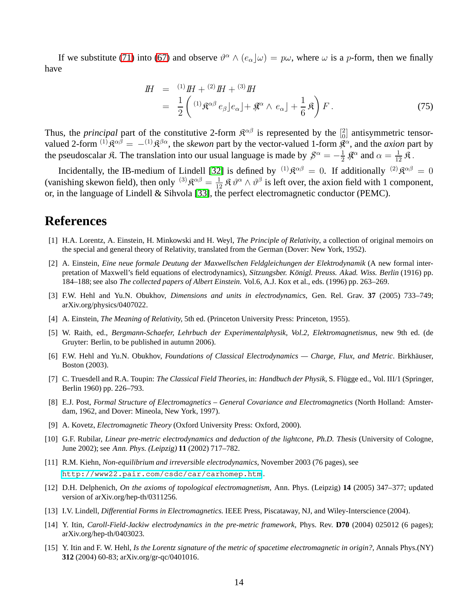<span id="page-13-15"></span>If we substitute [\(71\)](#page-12-2) into [\(67\)](#page-12-3) and observe  $\theta^{\alpha} \wedge (e_{\alpha} \vert \omega) = p\omega$ , where  $\omega$  is a p-form, then we finally have

$$
H = {}^{(1)}H + {}^{(2)}H + {}^{(3)}H
$$
  
=  $\frac{1}{2}$  $\left({}^{(1)}\mathfrak{K}^{\alpha\beta} e_{\beta} \big| e_{\alpha} \big| + \mathfrak{K}^{\alpha} \wedge e_{\alpha} \big| + \frac{1}{6} \mathfrak{K} \right) F.$  (75)

Thus, the *principal* part of the constitutive 2-form  $\mathbb{R}^{\alpha\beta}$  is represented by the  $\begin{bmatrix} 2 \\ 0 \end{bmatrix}$  antisymmetric tensorvalued 2-form <sup>(1)</sup> $\mathfrak{K}^{\alpha\beta} = -^{(1)}\mathfrak{K}^{\beta\alpha}$ , the *skewon* part by the vector-valued 1-form  $\mathfrak{K}^{\alpha}$ , and the *axion* part by the pseudoscalar  $\mathfrak{K}$ . The translation into our usual language is made by  $\mathfrak{G}^{\alpha} = -\frac{1}{2}$  $\frac{1}{2}$   $\mathfrak{K}^{\alpha}$  and  $\alpha = \frac{1}{12}$   $\mathfrak{K}$ .

Incidentally, the IB-medium of Lindell [\[32\]](#page-14-16) is defined by  $(1)$  $\mathfrak{R}^{\alpha\beta} = 0$ . If additionally  $(2)$  $\mathfrak{R}^{\alpha\beta} = 0$ (vanishing skewon field), then only  $^{(3)}\mathfrak{K}^{\alpha\beta} = \frac{1}{12} \mathfrak{K} \vartheta^{\alpha} \wedge \vartheta^{\beta}$  is left over, the axion field with 1 component, or, in the language of Lindell & Sihvola [\[33\]](#page-14-17), the perfect electromagnetic conductor (PEMC).

### <span id="page-13-0"></span>**References**

- [1] H.A. Lorentz, A. Einstein, H. Minkowski and H. Weyl, *The Principle of Relativity*, a collection of original memoirs on the special and general theory of Relativity, translated from the German (Dover: New York, 1952).
- <span id="page-13-1"></span>[2] A. Einstein, *Eine neue formale Deutung der Maxwellschen Feldgleichungen der Elektrodynamik* (A new formal interpretation of Maxwell's field equations of electrodynamics), Sitzungsber. Königl. Preuss. Akad. Wiss. Berlin (1916) pp. 184–188; see also *The collected papers of Albert Einstein.* Vol.6, A.J. Kox et al., eds. (1996) pp. 263–269.
- <span id="page-13-2"></span>[3] F.W. Hehl and Yu.N. Obukhov, *Dimensions and units in electrodynamics,* Gen. Rel. Grav. **37** (2005) 733–749; arXiv.org/physics/0407022.
- <span id="page-13-4"></span><span id="page-13-3"></span>[4] A. Einstein, *The Meaning of Relativity,* 5th ed. (Princeton University Press: Princeton, 1955).
- [5] W. Raith, ed., *Bergmann-Schaefer, Lehrbuch der Experimentalphysik, Vol.2, Elektromagnetismus*, new 9th ed. (de Gruyter: Berlin, to be published in autumn 2006).
- <span id="page-13-5"></span>[6] F.W. Hehl and Yu.N. Obukhov, *Foundations of Classical Electrodynamics — Charge, Flux, and Metric*. Birkhäuser, Boston (2003).
- <span id="page-13-6"></span>[7] C. Truesdell and R.A. Toupin: *The Classical Field Theories*, in: *Handbuch der Physik*, S. Flügge ed., Vol. III/1 (Springer, Berlin 1960) pp. 226–793.
- <span id="page-13-7"></span>[8] E.J. Post, *Formal Structure of Electromagnetics – General Covariance and Electromagnetics* (North Holland: Amsterdam, 1962, and Dover: Mineola, New York, 1997).
- <span id="page-13-8"></span>[9] A. Kovetz, *Electromagnetic Theory* (Oxford University Press: Oxford, 2000).
- <span id="page-13-9"></span>[10] G.F. Rubilar, *Linear pre-metric electrodynamics and deduction of the lightcone*, Ph.D. Thesis (University of Cologne, June 2002); see Ann. Phys. (Leipzig) **11** (2002) 717–782.
- <span id="page-13-10"></span>[11] R.M. Kiehn, *Non-equilibrium and irreversible electrodynamics,* November 2003 (76 pages), see <http://www22.pair.com/csdc/car/carhomep.htm> .
- <span id="page-13-11"></span>[12] D.H. Delphenich, *On the axioms of topological electromagnetism,* Ann. Phys. (Leipzig) **14** (2005) 347–377; updated version of arXiv.org/hep-th/0311256.
- <span id="page-13-13"></span><span id="page-13-12"></span>[13] I.V. Lindell, *Differential Forms in Electromagnetics.* IEEE Press, Piscataway, NJ, and Wiley-Interscience (2004).
- [14] Y. Itin, *Caroll-Field-Jackiw electrodynamics in the pre-metric framework,* Phys. Rev. **D70** (2004) 025012 (6 pages); arXiv.org/hep-th/0403023.
- <span id="page-13-14"></span>[15] Y. Itin and F. W. Hehl, *Is the Lorentz signature of the metric of spacetime electromagnetic in origin?,* Annals Phys.(NY) **312** (2004) 60-83; arXiv.org/gr-qc/0401016.